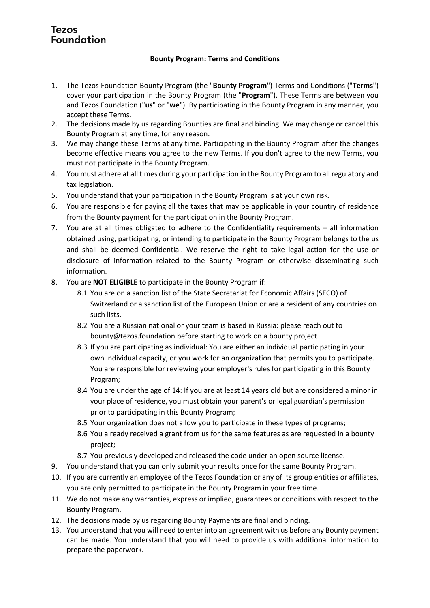## Tezos **Foundation**

## **Bounty Program: Terms and Conditions**

- 1. The Tezos Foundation Bounty Program (the "**Bounty Program**") Terms and Conditions ("**Terms**") cover your participation in the Bounty Program (the "**Program**"). These Terms are between you and Tezos Foundation ("**us**" or "**we**"). By participating in the Bounty Program in any manner, you accept these Terms.
- 2. The decisions made by us regarding Bounties are final and binding. We may change or cancel this Bounty Program at any time, for any reason.
- 3. We may change these Terms at any time. Participating in the Bounty Program after the changes become effective means you agree to the new Terms. If you don't agree to the new Terms, you must not participate in the Bounty Program.
- 4. You must adhere at all times during your participation in the Bounty Program to all regulatory and tax legislation.
- 5. You understand that your participation in the Bounty Program is at your own risk.
- 6. You are responsible for paying all the taxes that may be applicable in your country of residence from the Bounty payment for the participation in the Bounty Program.
- 7. You are at all times obligated to adhere to the Confidentiality requirements all information obtained using, participating, or intending to participate in the Bounty Program belongs to the us and shall be deemed Confidential. We reserve the right to take legal action for the use or disclosure of information related to the Bounty Program or otherwise disseminating such information.
- 8. You are **NOT ELIGIBLE** to participate in the Bounty Program if:
	- 8.1 You are on a sanction list of the State Secretariat for Economic Affairs (SECO) of Switzerland or a sanction list of the European Union or are a resident of any countries on such lists.
	- 8.2 You are a Russian national or your team is based in Russia: please reach out to bounty@tezos.foundation before starting to work on a bounty project.
	- 8.3 If you are participating as individual: You are either an individual participating in your own individual capacity, or you work for an organization that permits you to participate. You are responsible for reviewing your employer's rules for participating in this Bounty Program;
	- 8.4 You are under the age of 14: If you are at least 14 years old but are considered a minor in your place of residence, you must obtain your parent's or legal guardian's permission prior to participating in this Bounty Program;
	- 8.5 Your organization does not allow you to participate in these types of programs;
	- 8.6 You already received a grant from us for the same features as are requested in a bounty project;
	- 8.7 You previously developed and released the code under an open source license.
- 9. You understand that you can only submit your results once for the same Bounty Program.
- 10. If you are currently an employee of the Tezos Foundation or any of its group entities or affiliates, you are only permitted to participate in the Bounty Program in your free time.
- 11. We do not make any warranties, express or implied, guarantees or conditions with respect to the Bounty Program.
- 12. The decisions made by us regarding Bounty Payments are final and binding.
- 13. You understand that you will need to enter into an agreement with us before any Bounty payment can be made. You understand that you will need to provide us with additional information to prepare the paperwork.